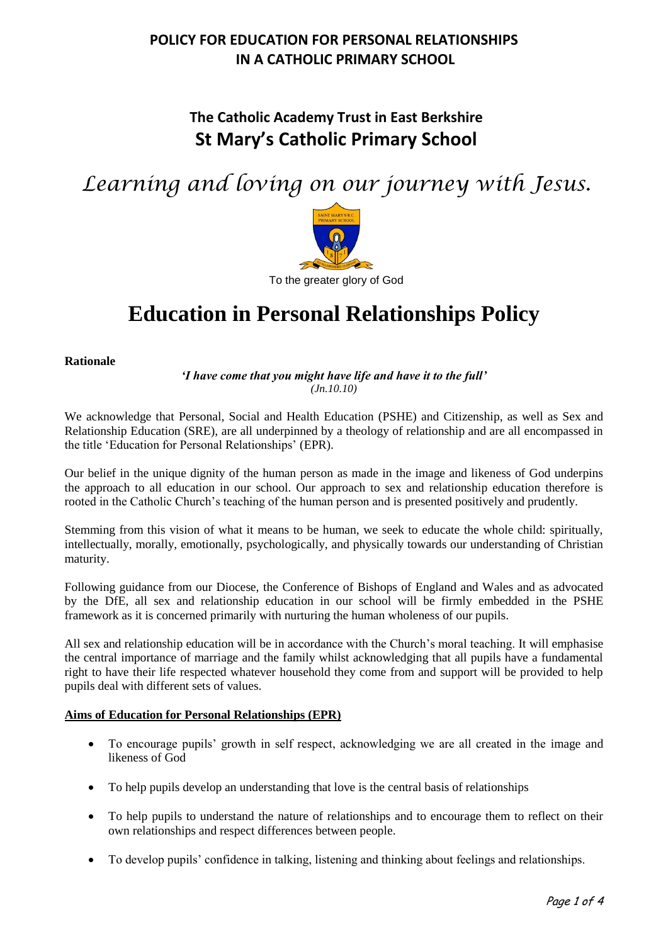## **The Catholic Academy Trust in East Berkshire St Mary's Catholic Primary School**

*Learning and loving on our journey with Jesus.*



# **Education in Personal Relationships Policy**

**Rationale**

*'I have come that you might have life and have it to the full' (Jn.10.10)*

We acknowledge that Personal, Social and Health Education (PSHE) and Citizenship, as well as Sex and Relationship Education (SRE), are all underpinned by a theology of relationship and are all encompassed in the title 'Education for Personal Relationships' (EPR).

Our belief in the unique dignity of the human person as made in the image and likeness of God underpins the approach to all education in our school. Our approach to sex and relationship education therefore is rooted in the Catholic Church's teaching of the human person and is presented positively and prudently.

Stemming from this vision of what it means to be human, we seek to educate the whole child: spiritually, intellectually, morally, emotionally, psychologically, and physically towards our understanding of Christian maturity.

Following guidance from our Diocese, the Conference of Bishops of England and Wales and as advocated by the DfE, all sex and relationship education in our school will be firmly embedded in the PSHE framework as it is concerned primarily with nurturing the human wholeness of our pupils.

All sex and relationship education will be in accordance with the Church's moral teaching. It will emphasise the central importance of marriage and the family whilst acknowledging that all pupils have a fundamental right to have their life respected whatever household they come from and support will be provided to help pupils deal with different sets of values.

#### **Aims of Education for Personal Relationships (EPR)**

- To encourage pupils' growth in self respect, acknowledging we are all created in the image and likeness of God
- To help pupils develop an understanding that love is the central basis of relationships
- To help pupils to understand the nature of relationships and to encourage them to reflect on their own relationships and respect differences between people.
- To develop pupils' confidence in talking, listening and thinking about feelings and relationships.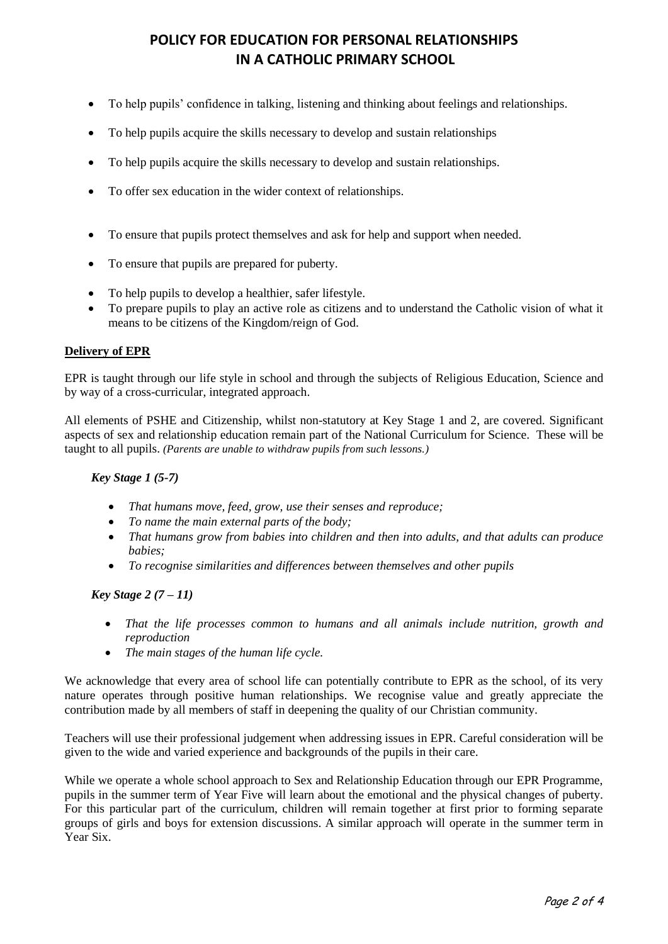- To help pupils' confidence in talking, listening and thinking about feelings and relationships.
- To help pupils acquire the skills necessary to develop and sustain relationships
- To help pupils acquire the skills necessary to develop and sustain relationships.
- To offer sex education in the wider context of relationships.
- To ensure that pupils protect themselves and ask for help and support when needed.
- To ensure that pupils are prepared for puberty.
- To help pupils to develop a healthier, safer lifestyle.
- To prepare pupils to play an active role as citizens and to understand the Catholic vision of what it means to be citizens of the Kingdom/reign of God.

#### **Delivery of EPR**

EPR is taught through our life style in school and through the subjects of Religious Education, Science and by way of a cross-curricular, integrated approach.

All elements of PSHE and Citizenship, whilst non-statutory at Key Stage 1 and 2, are covered. Significant aspects of sex and relationship education remain part of the National Curriculum for Science. These will be taught to all pupils. *(Parents are unable to withdraw pupils from such lessons.)*

*Key Stage 1 (5-7)*

- *That humans move, feed, grow, use their senses and reproduce;*
- *To name the main external parts of the body;*
- *That humans grow from babies into children and then into adults, and that adults can produce babies;*
- *To recognise similarities and differences between themselves and other pupils*

*Key Stage 2 (7 – 11)*

- *That the life processes common to humans and all animals include nutrition, growth and reproduction*
- *The main stages of the human life cycle.*

We acknowledge that every area of school life can potentially contribute to EPR as the school, of its very nature operates through positive human relationships. We recognise value and greatly appreciate the contribution made by all members of staff in deepening the quality of our Christian community.

Teachers will use their professional judgement when addressing issues in EPR. Careful consideration will be given to the wide and varied experience and backgrounds of the pupils in their care.

While we operate a whole school approach to Sex and Relationship Education through our EPR Programme, pupils in the summer term of Year Five will learn about the emotional and the physical changes of puberty. For this particular part of the curriculum, children will remain together at first prior to forming separate groups of girls and boys for extension discussions. A similar approach will operate in the summer term in Year Six.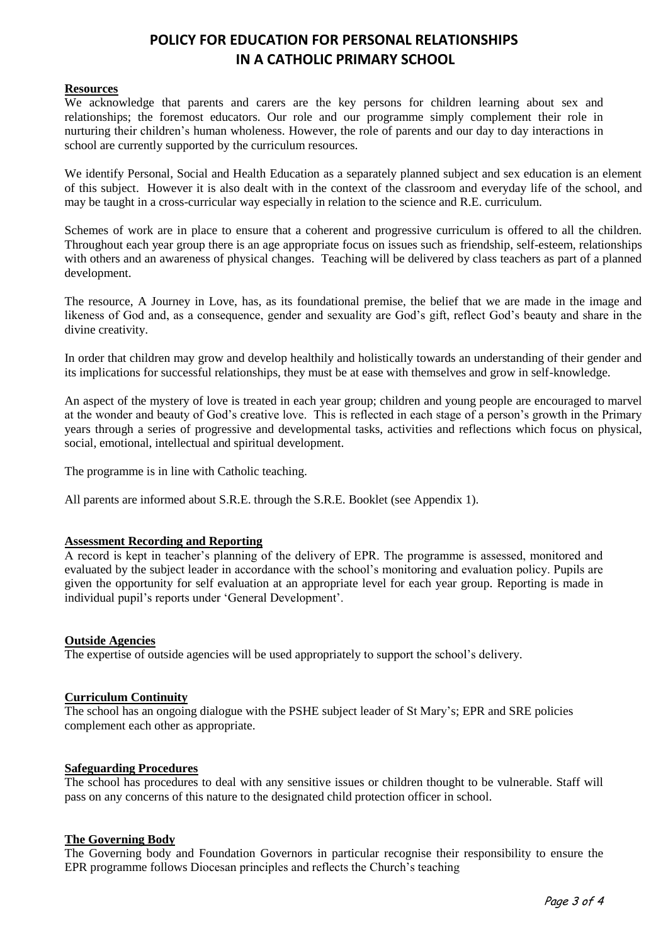#### **Resources**

We acknowledge that parents and carers are the key persons for children learning about sex and relationships; the foremost educators. Our role and our programme simply complement their role in nurturing their children's human wholeness. However, the role of parents and our day to day interactions in school are currently supported by the curriculum resources.

We identify Personal, Social and Health Education as a separately planned subject and sex education is an element of this subject. However it is also dealt with in the context of the classroom and everyday life of the school, and may be taught in a cross-curricular way especially in relation to the science and R.E. curriculum.

Schemes of work are in place to ensure that a coherent and progressive curriculum is offered to all the children. Throughout each year group there is an age appropriate focus on issues such as friendship, self-esteem, relationships with others and an awareness of physical changes. Teaching will be delivered by class teachers as part of a planned development.

The resource, A Journey in Love, has, as its foundational premise, the belief that we are made in the image and likeness of God and, as a consequence, gender and sexuality are God's gift, reflect God's beauty and share in the divine creativity.

In order that children may grow and develop healthily and holistically towards an understanding of their gender and its implications for successful relationships, they must be at ease with themselves and grow in self-knowledge.

An aspect of the mystery of love is treated in each year group; children and young people are encouraged to marvel at the wonder and beauty of God's creative love. This is reflected in each stage of a person's growth in the Primary years through a series of progressive and developmental tasks, activities and reflections which focus on physical, social, emotional, intellectual and spiritual development.

The programme is in line with Catholic teaching.

All parents are informed about S.R.E. through the S.R.E. Booklet (see Appendix 1).

#### **Assessment Recording and Reporting**

A record is kept in teacher's planning of the delivery of EPR. The programme is assessed, monitored and evaluated by the subject leader in accordance with the school's monitoring and evaluation policy. Pupils are given the opportunity for self evaluation at an appropriate level for each year group. Reporting is made in individual pupil's reports under 'General Development'.

#### **Outside Agencies**

The expertise of outside agencies will be used appropriately to support the school's delivery.

#### **Curriculum Continuity**

The school has an ongoing dialogue with the PSHE subject leader of St Mary's; EPR and SRE policies complement each other as appropriate.

#### **Safeguarding Procedures**

The school has procedures to deal with any sensitive issues or children thought to be vulnerable. Staff will pass on any concerns of this nature to the designated child protection officer in school.

#### **The Governing Body**

The Governing body and Foundation Governors in particular recognise their responsibility to ensure the EPR programme follows Diocesan principles and reflects the Church's teaching